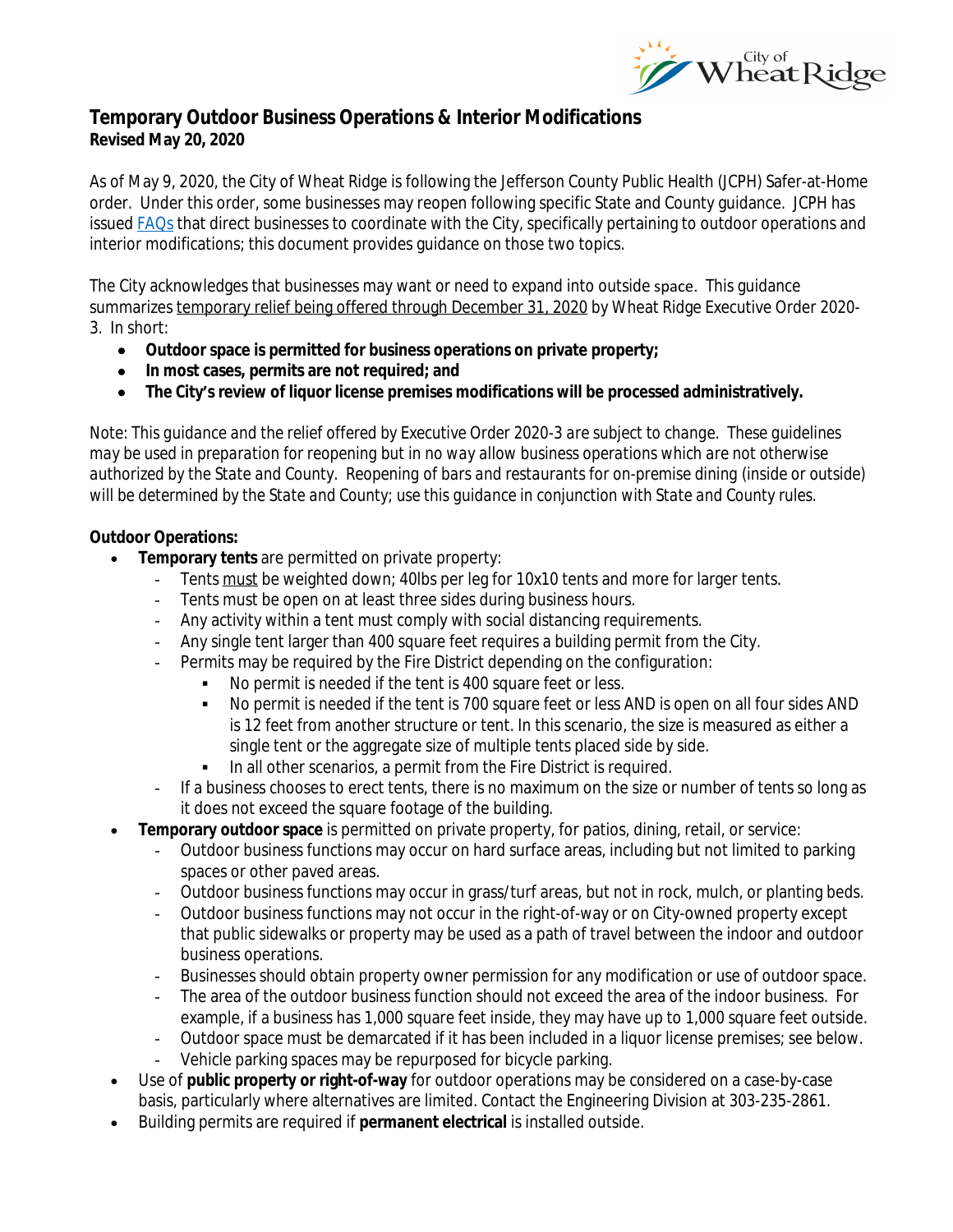

# **Temporary Outdoor Business Operations & Interior Modifications Revised May 20, 2020**

As of May 9, 2020, the City of Wheat Ridge is following the Jefferson County Public Health (JCPH) Safer-at-Home order. Under this order, some businesses may reopen following specific State and County guidance. JCPH has issued **FAQs** that direct businesses to coordinate with the City, specifically pertaining to outdoor operations and interior modifications; this document provides guidance on those two topics.

The City acknowledges that businesses may want or need to expand into outside space. This guidance summarizes temporary relief being offered through December 31, 2020 by Wheat Ridge Executive Order 2020- 3. In short:

- **Outdoor space is permitted for business operations on private property;**
- **In most cases, permits are not required; and**
- **The City's review of liquor license premises modifications will be processed administratively.**

*Note*: *This guidance and the relief offered by Executive Order 2020-3 are subject to change. These guidelines may be used in preparation for reopening but in no way allow business operations which are not otherwise authorized by the State and County. Reopening of bars and restaurants for on-premise dining (inside or outside) will be determined by the State and County; use this guidance in conjunction with State and County rules.*

## **Outdoor Operations:**

- **Temporary tents** are permitted on private property:
	- Tents must be weighted down; 40lbs per leg for 10x10 tents and more for larger tents.
	- Tents must be open on at least three sides during business hours.
	- Any activity within a tent must comply with social distancing requirements.
	- Any single tent larger than 400 square feet requires a building permit from the City.
	- Permits may be required by the Fire District depending on the configuration:
		- No permit is needed if the tent is 400 square feet or less.
			- No permit is needed if the tent is 700 square feet or less *AND* is open on all four sides *AND* is 12 feet from another structure or tent. In this scenario, the size is measured as either a single tent or the aggregate size of multiple tents placed side by side.
			- In all other scenarios, a permit from the Fire District is required.
	- If a business chooses to erect tents, there is no maximum on the size or number of tents so long as it does not exceed the square footage of the building.
- **Temporary outdoor space** is permitted on private property, for patios, dining, retail, or service:
	- Outdoor business functions may occur on hard surface areas, including but not limited to parking spaces or other paved areas.
	- Outdoor business functions may occur in grass/turf areas, but not in rock, mulch, or planting beds.
	- Outdoor business functions may not occur in the right-of-way or on City-owned property except that public sidewalks or property may be used as a path of travel between the indoor and outdoor business operations.
	- Businesses should obtain property owner permission for any modification or use of outdoor space.
	- The area of the outdoor business function should not exceed the area of the indoor business. For example, if a business has 1,000 square feet inside, they may have up to 1,000 square feet outside.
	- Outdoor space must be demarcated if it has been included in a liquor license premises; see below.
	- Vehicle parking spaces may be repurposed for bicycle parking.
- Use of **public property or right-of-way** for outdoor operations may be considered on a case-by-case basis, particularly where alternatives are limited. Contact the Engineering Division at 303-235-2861.
- Building permits are required if **permanent electrical** is installed outside.